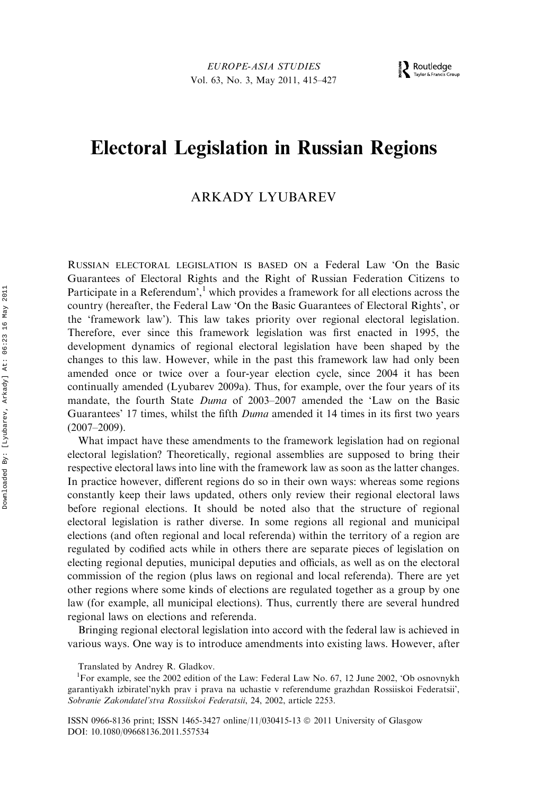# Electoral Legislation in Russian Regions

# ARKADY LYUBAREV

RUSSIAN ELECTORAL LEGISLATION IS BASED ON a Federal Law 'On the Basic Guarantees of Electoral Rights and the Right of Russian Federation Citizens to Participate in a Referendum',  $\frac{1}{1}$  which provides a framework for all elections across the country (hereafter, the Federal Law 'On the Basic Guarantees of Electoral Rights', or the 'framework law'). This law takes priority over regional electoral legislation. Therefore, ever since this framework legislation was first enacted in 1995, the development dynamics of regional electoral legislation have been shaped by the changes to this law. However, while in the past this framework law had only been amended once or twice over a four-year election cycle, since 2004 it has been continually amended (Lyubarev 2009a). Thus, for example, over the four years of its mandate, the fourth State Duma of 2003–2007 amended the 'Law on the Basic Guarantees' 17 times, whilst the fifth *Duma* amended it 14 times in its first two years (2007–2009).

What impact have these amendments to the framework legislation had on regional electoral legislation? Theoretically, regional assemblies are supposed to bring their respective electoral laws into line with the framework law as soon as the latter changes. In practice however, different regions do so in their own ways: whereas some regions constantly keep their laws updated, others only review their regional electoral laws before regional elections. It should be noted also that the structure of regional electoral legislation is rather diverse. In some regions all regional and municipal elections (and often regional and local referenda) within the territory of a region are regulated by codified acts while in others there are separate pieces of legislation on electing regional deputies, municipal deputies and officials, as well as on the electoral commission of the region (plus laws on regional and local referenda). There are yet other regions where some kinds of elections are regulated together as a group by one law (for example, all municipal elections). Thus, currently there are several hundred regional laws on elections and referenda.

Bringing regional electoral legislation into accord with the federal law is achieved in various ways. One way is to introduce amendments into existing laws. However, after

Translated by Andrey R. Gladkov.

<sup>&</sup>lt;sup>1</sup>For example, see the 2002 edition of the Law: Federal Law No. 67, 12 June 2002, 'Ob osnovnykh garantiyakh izbiratel'nykh prav i prava na uchastie v referendume grazhdan Rossiiskoi Federatsii', Sobranie Zakondatel'stva Rossiiskoi Federatsii, 24, 2002, article 2253.

ISSN 0966-8136 print; ISSN 1465-3427 online/11/030415-13  $\circledcirc$  2011 University of Glasgow DOI: 10.1080/09668136.2011.557534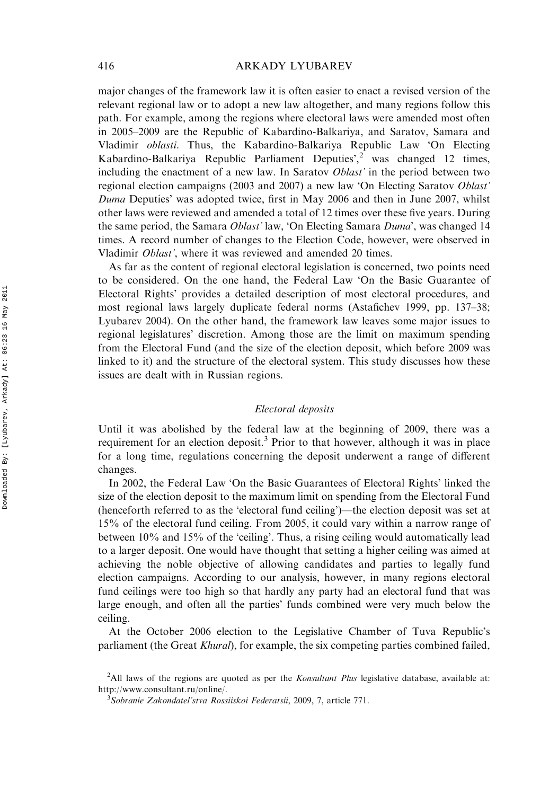major changes of the framework law it is often easier to enact a revised version of the relevant regional law or to adopt a new law altogether, and many regions follow this path. For example, among the regions where electoral laws were amended most often in 2005–2009 are the Republic of Kabardino-Balkariya, and Saratov, Samara and Vladimir oblasti. Thus, the Kabardino-Balkariya Republic Law 'On Electing Kabardino-Balkariya Republic Parliament Deputies<sup>', 2</sup> was changed 12 times, including the enactment of a new law. In Saratov *Oblast'* in the period between two regional election campaigns (2003 and 2007) a new law 'On Electing Saratov Oblast' Duma Deputies' was adopted twice, first in May 2006 and then in June 2007, whilst other laws were reviewed and amended a total of 12 times over these five years. During the same period, the Samara Oblast' law, 'On Electing Samara Duma', was changed 14 times. A record number of changes to the Election Code, however, were observed in Vladimir *Oblast'*, where it was reviewed and amended 20 times.

As far as the content of regional electoral legislation is concerned, two points need to be considered. On the one hand, the Federal Law 'On the Basic Guarantee of Electoral Rights' provides a detailed description of most electoral procedures, and most regional laws largely duplicate federal norms (Astafichev 1999, pp. 137–38; Lyubarev 2004). On the other hand, the framework law leaves some major issues to regional legislatures' discretion. Among those are the limit on maximum spending from the Electoral Fund (and the size of the election deposit, which before 2009 was linked to it) and the structure of the electoral system. This study discusses how these issues are dealt with in Russian regions.

# Electoral deposits

Until it was abolished by the federal law at the beginning of 2009, there was a requirement for an election deposit.<sup>3</sup> Prior to that however, although it was in place for a long time, regulations concerning the deposit underwent a range of different changes.

In 2002, the Federal Law 'On the Basic Guarantees of Electoral Rights' linked the size of the election deposit to the maximum limit on spending from the Electoral Fund (henceforth referred to as the 'electoral fund ceiling')—the election deposit was set at 15% of the electoral fund ceiling. From 2005, it could vary within a narrow range of between 10% and 15% of the 'ceiling'. Thus, a rising ceiling would automatically lead to a larger deposit. One would have thought that setting a higher ceiling was aimed at achieving the noble objective of allowing candidates and parties to legally fund election campaigns. According to our analysis, however, in many regions electoral fund ceilings were too high so that hardly any party had an electoral fund that was large enough, and often all the parties' funds combined were very much below the ceiling.

At the October 2006 election to the Legislative Chamber of Tuva Republic's parliament (the Great Khural), for example, the six competing parties combined failed,

<sup>&</sup>lt;sup>2</sup>All laws of the regions are quoted as per the *Konsultant Plus* legislative database, available at: [http://www.consultant.ru/online/.](http://www.consultant.ru/online/) <sup>3</sup>

<sup>&</sup>lt;sup>3</sup>Sobranie Zakondateľstva Rossiiskoi Federatsii, 2009, 7, article 771.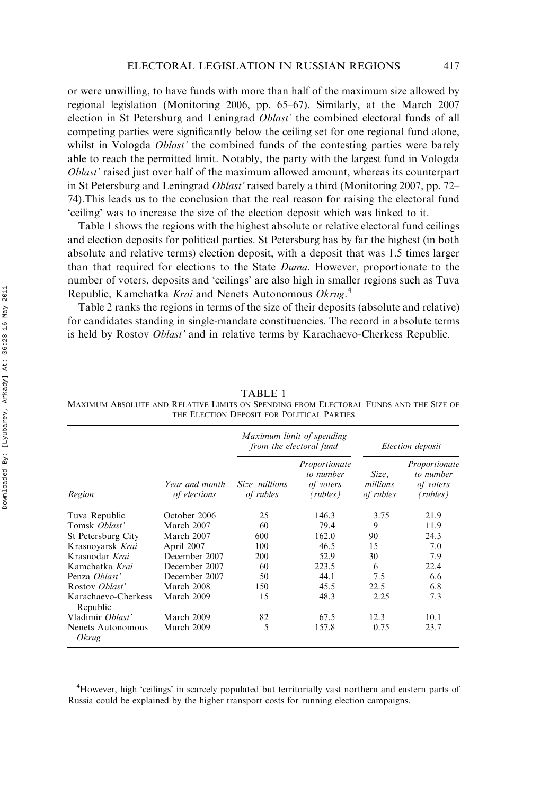or were unwilling, to have funds with more than half of the maximum size allowed by regional legislation (Monitoring 2006, pp. 65–67). Similarly, at the March 2007 election in St Petersburg and Leningrad Oblast' the combined electoral funds of all competing parties were significantly below the ceiling set for one regional fund alone, whilst in Vologda *Oblast'* the combined funds of the contesting parties were barely able to reach the permitted limit. Notably, the party with the largest fund in Vologda Oblast' raised just over half of the maximum allowed amount, whereas its counterpart in St Petersburg and Leningrad Oblast' raised barely a third (Monitoring 2007, pp. 72– 74).This leads us to the conclusion that the real reason for raising the electoral fund 'ceiling' was to increase the size of the election deposit which was linked to it.

Table 1 shows the regions with the highest absolute or relative electoral fund ceilings and election deposits for political parties. St Petersburg has by far the highest (in both absolute and relative terms) election deposit, with a deposit that was 1.5 times larger than that required for elections to the State Duma. However, proportionate to the number of voters, deposits and 'ceilings' are also high in smaller regions such as Tuva Republic, Kamchatka Krai and Nenets Autonomous Okrug.<sup>4</sup>

Table 2 ranks the regions in terms of the size of their deposits (absolute and relative) for candidates standing in single-mandate constituencies. The record in absolute terms is held by Rostov Oblast' and in relative terms by Karachaevo-Cherkess Republic.

|                                   | Year and month<br>of elections | Maximum limit of spending<br>from the electoral fund |                                                     | Election deposit               |                                                    |
|-----------------------------------|--------------------------------|------------------------------------------------------|-----------------------------------------------------|--------------------------------|----------------------------------------------------|
| Region                            |                                | Size, millions<br>of rubles                          | Proportionate<br>to number<br>of voters<br>(rubles) | Size,<br>millions<br>of rubles | Proportionate<br>to number<br>of voters<br>(rubes) |
| Tuva Republic                     | October 2006                   | 25                                                   | 146.3                                               | 3.75                           | 21.9                                               |
| Tomsk <i>Oblast'</i>              | March 2007                     | 60                                                   | 79.4                                                | 9                              | 11.9                                               |
| St Petersburg City                | March 2007                     | 600                                                  | 162.0                                               | 90                             | 24.3                                               |
| Krasnovarsk Krai                  | April 2007                     | 100                                                  | 46.5                                                | 15                             | 7.0                                                |
| Krasnodar Krai                    | December 2007                  | 200                                                  | 52.9                                                | 30                             | 7.9                                                |
| Kamchatka <i>Krai</i>             | December 2007                  | 60                                                   | 223.5                                               | 6                              | 22.4                                               |
| Penza Ohlast'                     | December 2007                  | 50                                                   | 44.1                                                | 7.5                            | 6.6                                                |
| Rostov Oblast'                    | March 2008                     | 150                                                  | 45.5                                                | 22.5                           | 6.8                                                |
| Karachaevo-Cherkess<br>Republic   | March 2009                     | 15                                                   | 48.3                                                | 2.25                           | 7.3                                                |
| Vladimir Oblast'                  | March 2009                     | 82                                                   | 67.5                                                | 12.3                           | 10.1                                               |
| Nenets Autonomous<br><i>Okrug</i> | March 2009                     | 5                                                    | 157.8                                               | 0.75                           | 23.7                                               |

TABLE 1

MAXIMUM ABSOLUTE AND RELATIVE LIMITS ON SPENDING FROM ELECTORAL FUNDS AND THE SIZE OF THE ELECTION DEPOSIT FOR POLITICAL PARTIES

<sup>4</sup>However, high 'ceilings' in scarcely populated but territorially vast northern and eastern parts of Russia could be explained by the higher transport costs for running election campaigns.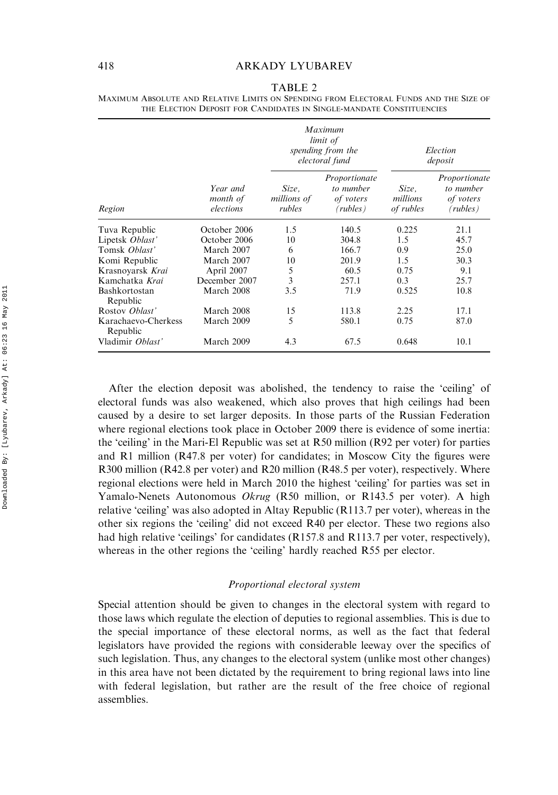|                                 |                                   | Maximum<br>limit of<br>spending from the<br>electoral fund |                                                     | Election<br>deposit            |                                                     |
|---------------------------------|-----------------------------------|------------------------------------------------------------|-----------------------------------------------------|--------------------------------|-----------------------------------------------------|
| Region                          | Year and<br>month of<br>elections | Size.<br>millions of<br>rubles                             | Proportionate<br>to number<br>of voters<br>(rubles) | Size,<br>millions<br>of rubles | Proportionate<br>to number<br>of voters<br>(rubles) |
| Tuva Republic                   | October 2006                      | 1.5                                                        | 140.5                                               | 0.225                          | 21.1                                                |
| Lipetsk Oblast'                 | October 2006                      | 10                                                         | 304.8                                               | 1.5                            | 45.7                                                |
| Tomsk Oblast'                   | March 2007                        | 6                                                          | 166.7                                               | 0.9                            | 25.0                                                |
| Komi Republic                   | March 2007                        | 10                                                         | 201.9                                               | 1.5                            | 30.3                                                |
| Krasnovarsk Krai                | April 2007                        | 5                                                          | 60.5                                                | 0.75                           | 9.1                                                 |
| Kamchatka Krai                  | December 2007                     | 3                                                          | 257.1                                               | 0.3                            | 25.7                                                |
| Bashkortostan<br>Republic       | March 2008                        | 3.5                                                        | 71.9                                                | 0.525                          | 10.8                                                |
| Rostov Oblast'                  | March 2008                        | 15                                                         | 113.8                                               | 2.25                           | 17.1                                                |
| Karachaevo-Cherkess<br>Republic | March 2009                        | 5                                                          | 580.1                                               | 0.75                           | 87.0                                                |
| Vladimir Oblast'                | March 2009                        | 4.3                                                        | 67.5                                                | 0.648                          | 10.1                                                |

TABLE 2 MAXIMUM ABSOLUTE AND RELATIVE LIMITS ON SPENDING FROM ELECTORAL FUNDS AND THE SIZE OF THE ELECTION DEPOSIT FOR CANDIDATES IN SINGLE-MANDATE CONSTITUENCIES

After the election deposit was abolished, the tendency to raise the 'ceiling' of electoral funds was also weakened, which also proves that high ceilings had been caused by a desire to set larger deposits. In those parts of the Russian Federation where regional elections took place in October 2009 there is evidence of some inertia: the 'ceiling' in the Mari-El Republic was set at R50 million (R92 per voter) for parties and R1 million (R47.8 per voter) for candidates; in Moscow City the figures were R300 million (R42.8 per voter) and R20 million (R48.5 per voter), respectively. Where regional elections were held in March 2010 the highest 'ceiling' for parties was set in Yamalo-Nenets Autonomous Okrug (R50 million, or R143.5 per voter). A high relative 'ceiling' was also adopted in Altay Republic (R113.7 per voter), whereas in the other six regions the 'ceiling' did not exceed R40 per elector. These two regions also had high relative 'ceilings' for candidates (R157.8 and R113.7 per voter, respectively), whereas in the other regions the 'ceiling' hardly reached R55 per elector.

### Proportional electoral system

Special attention should be given to changes in the electoral system with regard to those laws which regulate the election of deputies to regional assemblies. This is due to the special importance of these electoral norms, as well as the fact that federal legislators have provided the regions with considerable leeway over the specifics of such legislation. Thus, any changes to the electoral system (unlike most other changes) in this area have not been dictated by the requirement to bring regional laws into line with federal legislation, but rather are the result of the free choice of regional assemblies.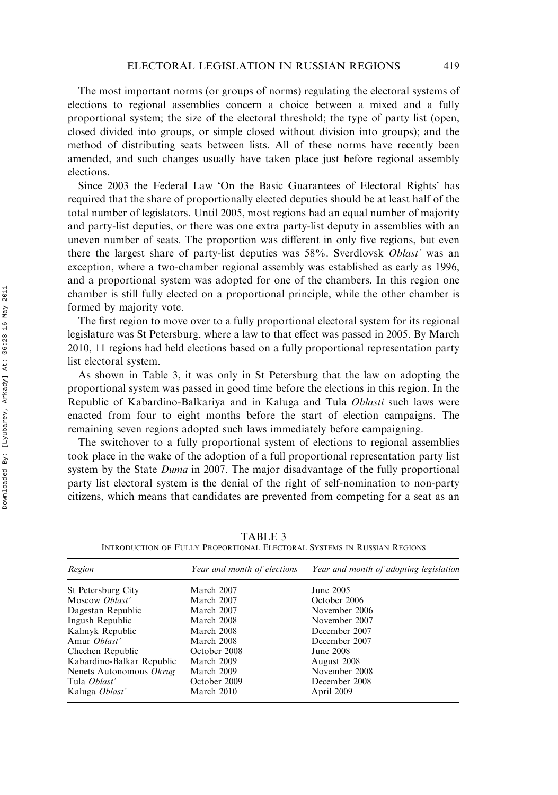The most important norms (or groups of norms) regulating the electoral systems of elections to regional assemblies concern a choice between a mixed and a fully proportional system; the size of the electoral threshold; the type of party list (open, closed divided into groups, or simple closed without division into groups); and the method of distributing seats between lists. All of these norms have recently been amended, and such changes usually have taken place just before regional assembly elections.

Since 2003 the Federal Law 'On the Basic Guarantees of Electoral Rights' has required that the share of proportionally elected deputies should be at least half of the total number of legislators. Until 2005, most regions had an equal number of majority and party-list deputies, or there was one extra party-list deputy in assemblies with an uneven number of seats. The proportion was different in only five regions, but even there the largest share of party-list deputies was 58%. Sverdlovsk Oblast' was an exception, where a two-chamber regional assembly was established as early as 1996, and a proportional system was adopted for one of the chambers. In this region one chamber is still fully elected on a proportional principle, while the other chamber is formed by majority vote.

The first region to move over to a fully proportional electoral system for its regional legislature was St Petersburg, where a law to that effect was passed in 2005. By March 2010, 11 regions had held elections based on a fully proportional representation party list electoral system.

As shown in Table 3, it was only in St Petersburg that the law on adopting the proportional system was passed in good time before the elections in this region. In the Republic of Kabardino-Balkariya and in Kaluga and Tula Oblasti such laws were enacted from four to eight months before the start of election campaigns. The remaining seven regions adopted such laws immediately before campaigning.

The switchover to a fully proportional system of elections to regional assemblies took place in the wake of the adoption of a full proportional representation party list system by the State *Duma* in 2007. The major disadvantage of the fully proportional party list electoral system is the denial of the right of self-nomination to non-party citizens, which means that candidates are prevented from competing for a seat as an

TABLE 3 INTRODUCTION OF FULLY PROPORTIONAL ELECTORAL SYSTEMS IN RUSSIAN REGIONS

| Region                    | Year and month of elections | Year and month of adopting legislation |
|---------------------------|-----------------------------|----------------------------------------|
| St Petersburg City        | March 2007                  | June 2005                              |
| Moscow Oblast'            | March 2007                  | October 2006                           |
| Dagestan Republic         | March 2007                  | November 2006                          |
| Ingush Republic           | March 2008                  | November 2007                          |
| Kalmyk Republic           | March 2008                  | December 2007                          |
| Amur <i>Oblast'</i>       | March 2008                  | December 2007                          |
| Chechen Republic          | October 2008                | June 2008                              |
| Kabardino-Balkar Republic | March 2009                  | August 2008                            |
| Nenets Autonomous Okrug   | March 2009                  | November 2008                          |
| Tula <i>Oblast'</i>       | October 2009                | December 2008                          |
| Kaluga Oblast'            | March 2010                  | April 2009                             |
|                           |                             |                                        |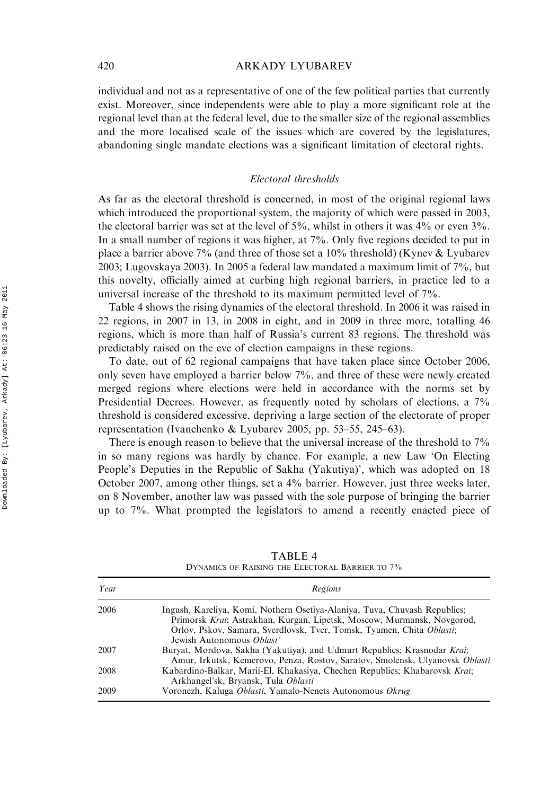individual and not as a representative of one of the few political parties that currently exist. Moreover, since independents were able to play a more significant role at the regional level than at the federal level, due to the smaller size of the regional assemblies and the more localised scale of the issues which are covered by the legislatures, abandoning single mandate elections was a significant limitation of electoral rights.

# Electoral thresholds

As far as the electoral threshold is concerned, in most of the original regional laws which introduced the proportional system, the majority of which were passed in 2003, the electoral barrier was set at the level of  $5\%$ , whilst in others it was  $4\%$  or even  $3\%$ . In a small number of regions it was higher, at 7%. Only five regions decided to put in place a barrier above 7% (and three of those set a 10% threshold) (Kynev & Lyubarev 2003; Lugovskaya 2003). In 2005 a federal law mandated a maximum limit of 7%, but this novelty, officially aimed at curbing high regional barriers, in practice led to a universal increase of the threshold to its maximum permitted level of 7%.

Table 4 shows the rising dynamics of the electoral threshold. In 2006 it was raised in 22 regions, in 2007 in 13, in 2008 in eight, and in 2009 in three more, totalling 46 regions, which is more than half of Russia's current 83 regions. The threshold was predictably raised on the eve of election campaigns in these regions.

To date, out of 62 regional campaigns that have taken place since October 2006, only seven have employed a barrier below 7%, and three of these were newly created merged regions where elections were held in accordance with the norms set by Presidential Decrees. However, as frequently noted by scholars of elections, a 7% threshold is considered excessive, depriving a large section of the electorate of proper representation (Ivanchenko & Lyubarev 2005, pp. 53–55, 245–63).

There is enough reason to believe that the universal increase of the threshold to 7% in so many regions was hardly by chance. For example, a new Law 'On Electing People's Deputies in the Republic of Sakha (Yakutiya)', which was adopted on 18 October 2007, among other things, set a 4% barrier. However, just three weeks later, on 8 November, another law was passed with the sole purpose of bringing the barrier up to 7%. What prompted the legislators to amend a recently enacted piece of

| Year | Regions                                                                                                                                                                                                                                                   |
|------|-----------------------------------------------------------------------------------------------------------------------------------------------------------------------------------------------------------------------------------------------------------|
| 2006 | Ingush, Kareliya, Komi, Nothern Osetiya-Alaniya, Tuva, Chuvash Republics;<br>Primorsk Krai; Astrakhan, Kurgan, Lipetsk, Moscow, Murmansk, Novgorod,<br>Orlov, Pskov, Samara, Sverdlovsk, Tver, Tomsk, Tyumen, Chita Oblasti;<br>Jewish Autonomous Oblast' |
| 2007 | Buryat, Mordova, Sakha (Yakutiya), and Udmurt Republics; Krasnodar Krai;<br>Amur, Irkutsk, Kemerovo, Penza, Rostov, Saratov, Smolensk, Ulyanovsk Oblasti                                                                                                  |
| 2008 | Kabardino-Balkar, Marii-El, Khakasiya, Chechen Republics; Khabarovsk Krai;<br>Arkhangel'sk, Bryansk, Tula Oblasti                                                                                                                                         |
| 2009 | Voronezh, Kaluga Oblasti, Yamalo-Nenets Autonomous Okrug                                                                                                                                                                                                  |

TABLE 4 DYNAMICS OF RAISING THE ELECTORAL BARRIER TO 7%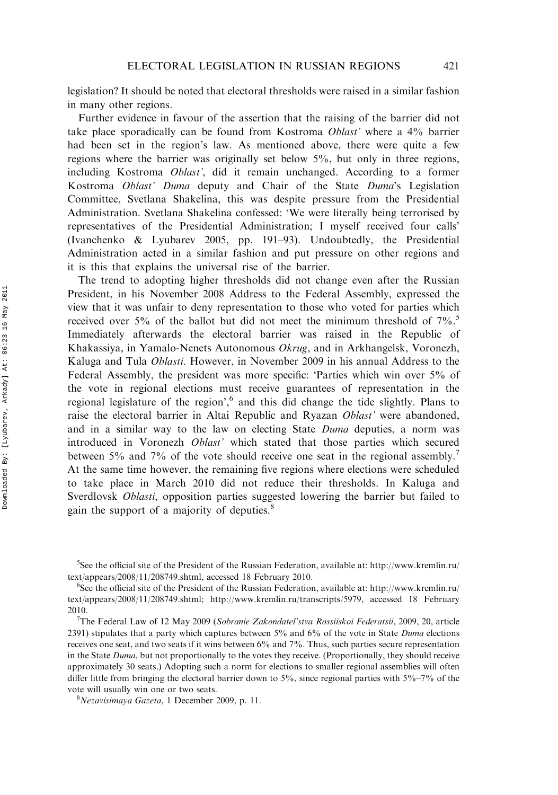legislation? It should be noted that electoral thresholds were raised in a similar fashion in many other regions.

Further evidence in favour of the assertion that the raising of the barrier did not take place sporadically can be found from Kostroma Oblast' where a 4% barrier had been set in the region's law. As mentioned above, there were quite a few regions where the barrier was originally set below 5%, but only in three regions, including Kostroma *Oblast'*, did it remain unchanged. According to a former Kostroma Oblast' Duma deputy and Chair of the State Duma's Legislation Committee, Svetlana Shakelina, this was despite pressure from the Presidential Administration. Svetlana Shakelina confessed: 'We were literally being terrorised by representatives of the Presidential Administration; I myself received four calls' (Ivanchenko & Lyubarev 2005, pp. 191–93). Undoubtedly, the Presidential Administration acted in a similar fashion and put pressure on other regions and it is this that explains the universal rise of the barrier.

The trend to adopting higher thresholds did not change even after the Russian President, in his November 2008 Address to the Federal Assembly, expressed the view that it was unfair to deny representation to those who voted for parties which received over 5% of the ballot but did not meet the minimum threshold of  $7\%$ .<sup>5</sup> Immediately afterwards the electoral barrier was raised in the Republic of Khakassiya, in Yamalo-Nenets Autonomous Okrug, and in Arkhangelsk, Voronezh, Kaluga and Tula Oblasti. However, in November 2009 in his annual Address to the Federal Assembly, the president was more specific: 'Parties which win over 5% of the vote in regional elections must receive guarantees of representation in the regional legislature of the region',<sup>6</sup> and this did change the tide slightly. Plans to raise the electoral barrier in Altai Republic and Ryazan Oblast' were abandoned, and in a similar way to the law on electing State Duma deputies, a norm was introduced in Voronezh Oblast' which stated that those parties which secured between 5% and 7% of the vote should receive one seat in the regional assembly.<sup>7</sup> At the same time however, the remaining five regions where elections were scheduled to take place in March 2010 did not reduce their thresholds. In Kaluga and Sverdlovsk *Oblasti*, opposition parties suggested lowering the barrier but failed to gain the support of a majority of deputies.<sup>8</sup>

<sup>&</sup>lt;sup>5</sup>See the official site of the President of the Russian Federation, available at: [http://www.kremlin.ru/](http://www.kremlin.ru/text/appears/2008/11/208749.shtml)  $text/appears/2008/11/208749.shtml, accessed 18 February 2010.$  $text/appears/2008/11/208749.shtml, accessed 18 February 2010.$ 

<sup>&</sup>lt;sup>6</sup>See the official site of the President of the Russian Federation, available at: [http://www.kremlin.ru/](http://www.kremlin.ru/text/appears/2008/11/208749.shtml) [text/appears/2008/11/208749.shtml](http://www.kremlin.ru/text/appears/2008/11/208749.shtml); [http://www.kremlin.ru/transcripts/5979,](http://www.kremlin.ru/transcripts/5979) accessed 18 February 2010.

The Federal Law of 12 May 2009 (Sobranie Zakondatel'stva Rossiiskoi Federatsii, 2009, 20, article 2391) stipulates that a party which captures between 5% and 6% of the vote in State Duma elections receives one seat, and two seats if it wins between 6% and 7%. Thus, such parties secure representation in the State Duma, but not proportionally to the votes they receive. (Proportionally, they should receive approximately 30 seats.) Adopting such a norm for elections to smaller regional assemblies will often differ little from bringing the electoral barrier down to 5%, since regional parties with  $5\%$ –7% of the vote will usually win one or two seats.

 $N$ ezavisimaya Gazeta, 1 December 2009, p. 11.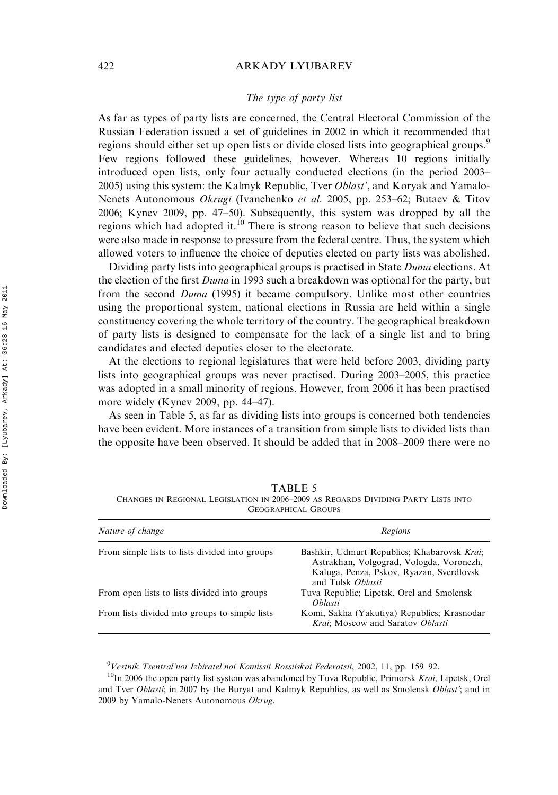# The type of party list

As far as types of party lists are concerned, the Central Electoral Commission of the Russian Federation issued a set of guidelines in 2002 in which it recommended that regions should either set up open lists or divide closed lists into geographical groups.<sup>9</sup> Few regions followed these guidelines, however. Whereas 10 regions initially introduced open lists, only four actually conducted elections (in the period 2003– 2005) using this system: the Kalmyk Republic, Tver *Oblast'*, and Koryak and Yamalo-Nenets Autonomous *Okrugi* (Ivanchenko *et al.* 2005, pp. 253–62; Butaev & Titov 2006; Kynev 2009, pp. 47–50). Subsequently, this system was dropped by all the regions which had adopted it.<sup>10</sup> There is strong reason to believe that such decisions were also made in response to pressure from the federal centre. Thus, the system which allowed voters to influence the choice of deputies elected on party lists was abolished.

Dividing party lists into geographical groups is practised in State Duma elections. At the election of the first *Duma* in 1993 such a breakdown was optional for the party, but from the second Duma (1995) it became compulsory. Unlike most other countries using the proportional system, national elections in Russia are held within a single constituency covering the whole territory of the country. The geographical breakdown of party lists is designed to compensate for the lack of a single list and to bring candidates and elected deputies closer to the electorate.

At the elections to regional legislatures that were held before 2003, dividing party lists into geographical groups was never practised. During 2003–2005, this practice was adopted in a small minority of regions. However, from 2006 it has been practised more widely (Kynev 2009, pp. 44–47).

As seen in Table 5, as far as dividing lists into groups is concerned both tendencies have been evident. More instances of a transition from simple lists to divided lists than the opposite have been observed. It should be added that in 2008–2009 there were no

| <u>oloon hindi onoolo</u>                      |                                                                                                                                                          |  |  |
|------------------------------------------------|----------------------------------------------------------------------------------------------------------------------------------------------------------|--|--|
| Nature of change                               | Regions                                                                                                                                                  |  |  |
| From simple lists to lists divided into groups | Bashkir, Udmurt Republics; Khabarovsk Krai;<br>Astrakhan, Volgograd, Vologda, Voronezh,<br>Kaluga, Penza, Pskov, Ryazan, Sverdlovsk<br>and Tulsk Oblasti |  |  |
| From open lists to lists divided into groups   | Tuva Republic; Lipetsk, Orel and Smolensk<br><i>Oblasti</i>                                                                                              |  |  |
| From lists divided into groups to simple lists | Komi, Sakha (Yakutiya) Republics; Krasnodar<br>Krai; Moscow and Saratov Oblasti                                                                          |  |  |

TABLE 5 CHANGES IN REGIONAL LEGISLATION IN 2006–2009 AS REGARDS DIVIDING PARTY LISTS INTO GEOGRAPHICAL GROUPS

<sup>9</sup>Vestnik Tsentral'noi Izbiratel'noi Komissii Rossiiskoi Federatsii, 2002, 11, pp. 159–92.

 $10$ In 2006 the open party list system was abandoned by Tuva Republic, Primorsk Krai, Lipetsk, Orel and Tver Oblasti; in 2007 by the Buryat and Kalmyk Republics, as well as Smolensk Oblast'; and in 2009 by Yamalo-Nenets Autonomous Okrug.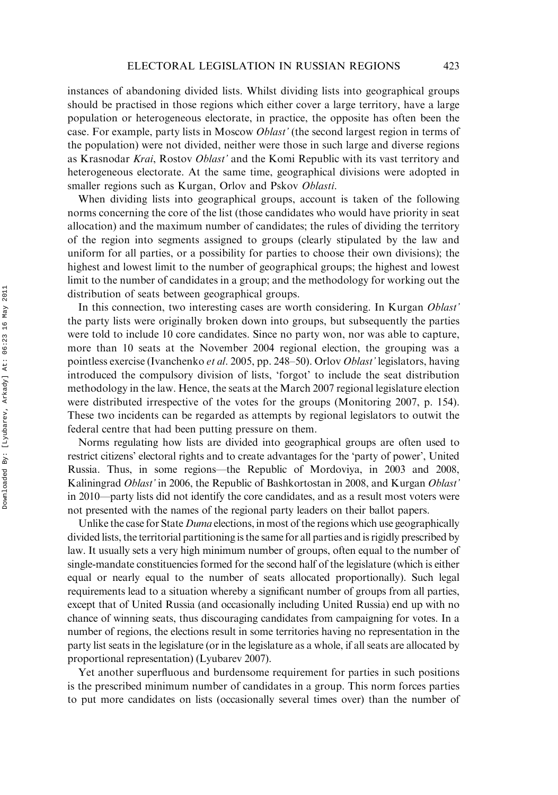instances of abandoning divided lists. Whilst dividing lists into geographical groups should be practised in those regions which either cover a large territory, have a large population or heterogeneous electorate, in practice, the opposite has often been the case. For example, party lists in Moscow Oblast' (the second largest region in terms of the population) were not divided, neither were those in such large and diverse regions as Krasnodar Krai, Rostov Oblast' and the Komi Republic with its vast territory and heterogeneous electorate. At the same time, geographical divisions were adopted in smaller regions such as Kurgan, Orlov and Pskov Oblasti.

When dividing lists into geographical groups, account is taken of the following norms concerning the core of the list (those candidates who would have priority in seat allocation) and the maximum number of candidates; the rules of dividing the territory of the region into segments assigned to groups (clearly stipulated by the law and uniform for all parties, or a possibility for parties to choose their own divisions); the highest and lowest limit to the number of geographical groups; the highest and lowest limit to the number of candidates in a group; and the methodology for working out the distribution of seats between geographical groups.

In this connection, two interesting cases are worth considering. In Kurgan *Oblast'* the party lists were originally broken down into groups, but subsequently the parties were told to include 10 core candidates. Since no party won, nor was able to capture, more than 10 seats at the November 2004 regional election, the grouping was a pointless exercise (Ivanchenko et al. 2005, pp. 248–50). Orlov Oblast' legislators, having introduced the compulsory division of lists, 'forgot' to include the seat distribution methodology in the law. Hence, the seats at the March 2007 regional legislature election were distributed irrespective of the votes for the groups (Monitoring 2007, p. 154). These two incidents can be regarded as attempts by regional legislators to outwit the federal centre that had been putting pressure on them.

Norms regulating how lists are divided into geographical groups are often used to restrict citizens' electoral rights and to create advantages for the 'party of power', United Russia. Thus, in some regions—the Republic of Mordoviya, in 2003 and 2008, Kaliningrad Oblast' in 2006, the Republic of Bashkortostan in 2008, and Kurgan Oblast' in 2010—party lists did not identify the core candidates, and as a result most voters were not presented with the names of the regional party leaders on their ballot papers.

Unlike the case for State *Duma* elections, in most of the regions which use geographically divided lists, the territorial partitioning is the same for all parties and is rigidly prescribed by law. It usually sets a very high minimum number of groups, often equal to the number of single-mandate constituencies formed for the second half of the legislature (which is either equal or nearly equal to the number of seats allocated proportionally). Such legal requirements lead to a situation whereby a significant number of groups from all parties, except that of United Russia (and occasionally including United Russia) end up with no chance of winning seats, thus discouraging candidates from campaigning for votes. In a number of regions, the elections result in some territories having no representation in the party list seats in the legislature (or in the legislature as a whole, if all seats are allocated by proportional representation) (Lyubarev 2007).

Yet another superfluous and burdensome requirement for parties in such positions is the prescribed minimum number of candidates in a group. This norm forces parties to put more candidates on lists (occasionally several times over) than the number of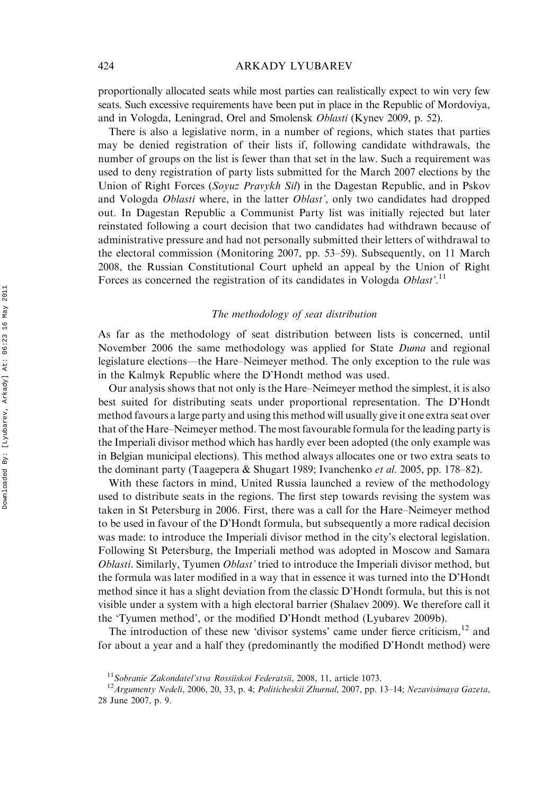proportionally allocated seats while most parties can realistically expect to win very few seats. Such excessive requirements have been put in place in the Republic of Mordoviya, and in Vologda, Leningrad, Orel and Smolensk Oblasti (Kynev 2009, p. 52).

There is also a legislative norm, in a number of regions, which states that parties may be denied registration of their lists if, following candidate withdrawals, the number of groups on the list is fewer than that set in the law. Such a requirement was used to deny registration of party lists submitted for the March 2007 elections by the Union of Right Forces (Soyuz Pravykh Sil) in the Dagestan Republic, and in Pskov and Vologda *Oblasti* where, in the latter *Oblast'*, only two candidates had dropped out. In Dagestan Republic a Communist Party list was initially rejected but later reinstated following a court decision that two candidates had withdrawn because of administrative pressure and had not personally submitted their letters of withdrawal to the electoral commission (Monitoring 2007, pp. 53–59). Subsequently, on 11 March 2008, the Russian Constitutional Court upheld an appeal by the Union of Right Forces as concerned the registration of its candidates in Vologda Oblast'.<sup>11</sup>

# The methodology of seat distribution

As far as the methodology of seat distribution between lists is concerned, until November 2006 the same methodology was applied for State Duma and regional legislature elections—the Hare–Neimeyer method. The only exception to the rule was in the Kalmyk Republic where the D'Hondt method was used.

Our analysis shows that not only is the Hare–Neimeyer method the simplest, it is also best suited for distributing seats under proportional representation. The D'Hondt method favours a large party and using this method will usually give it one extra seat over that of the Hare–Neimeyer method. The most favourable formula for the leading party is the Imperiali divisor method which has hardly ever been adopted (the only example was in Belgian municipal elections). This method always allocates one or two extra seats to the dominant party (Taagepera & Shugart 1989; Ivanchenko *et al.* 2005, pp. 178–82).

With these factors in mind, United Russia launched a review of the methodology used to distribute seats in the regions. The first step towards revising the system was taken in St Petersburg in 2006. First, there was a call for the Hare–Neimeyer method to be used in favour of the D'Hondt formula, but subsequently a more radical decision was made: to introduce the Imperiali divisor method in the city's electoral legislation. Following St Petersburg, the Imperiali method was adopted in Moscow and Samara *Oblasti.* Similarly, Tyumen *Oblast'* tried to introduce the Imperiali divisor method, but the formula was later modified in a way that in essence it was turned into the D'Hondt method since it has a slight deviation from the classic D'Hondt formula, but this is not visible under a system with a high electoral barrier (Shalaev 2009). We therefore call it the 'Tyumen method', or the modified D'Hondt method (Lyubarev 2009b).

The introduction of these new 'divisor systems' came under fierce criticism, $12$  and for about a year and a half they (predominantly the modified D'Hondt method) were

<sup>&</sup>lt;sup>11</sup>Sobranie Zakondatel'stva Rossiiskoi Federatsii, 2008, 11, article 1073.<br><sup>12</sup>Argumenty Nedeli, 2006, 20, 33, p. 4; Politicheskii Zhurnal, 2007, pp. 13–14; Nezavisimaya Gazeta, 28 June 2007, p. 9.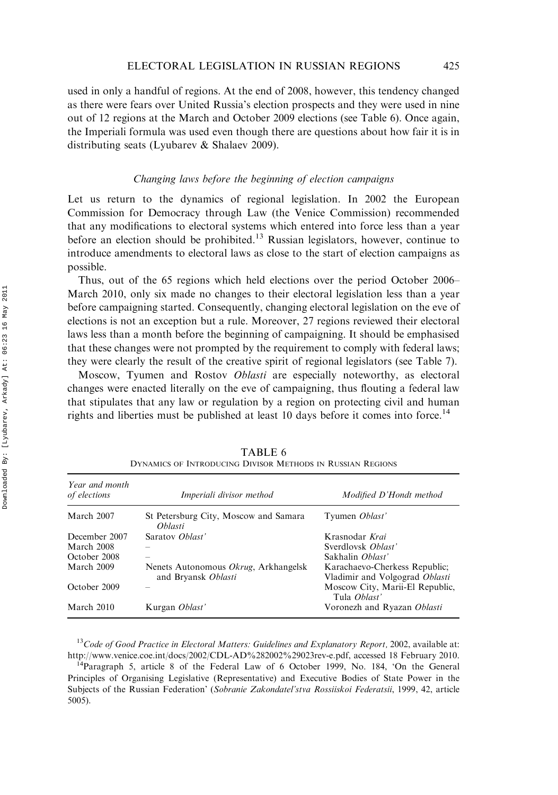used in only a handful of regions. At the end of 2008, however, this tendency changed as there were fears over United Russia's election prospects and they were used in nine out of 12 regions at the March and October 2009 elections (see Table 6). Once again, the Imperiali formula was used even though there are questions about how fair it is in distributing seats (Lyubarev & Shalaev 2009).

# Changing laws before the beginning of election campaigns

Let us return to the dynamics of regional legislation. In 2002 the European Commission for Democracy through Law (the Venice Commission) recommended that any modifications to electoral systems which entered into force less than a year before an election should be prohibited.<sup>13</sup> Russian legislators, however, continue to introduce amendments to electoral laws as close to the start of election campaigns as possible.

Thus, out of the 65 regions which held elections over the period October 2006– March 2010, only six made no changes to their electoral legislation less than a year before campaigning started. Consequently, changing electoral legislation on the eve of elections is not an exception but a rule. Moreover, 27 regions reviewed their electoral laws less than a month before the beginning of campaigning. It should be emphasised that these changes were not prompted by the requirement to comply with federal laws; they were clearly the result of the creative spirit of regional legislators (see Table 7).

Moscow, Tyumen and Rostov Oblasti are especially noteworthy, as electoral changes were enacted literally on the eve of campaigning, thus flouting a federal law that stipulates that any law or regulation by a region on protecting civil and human rights and liberties must be published at least 10 days before it comes into force.<sup>14</sup>

| Year and month<br>of elections | Imperiali divisor method                                    | Modified D'Hondt method                                         |
|--------------------------------|-------------------------------------------------------------|-----------------------------------------------------------------|
| March 2007                     | St Petersburg City, Moscow and Samara<br><i>Oblasti</i>     | Tyumen Oblast'                                                  |
| December 2007                  | Saratov Oblast'                                             | Krasnodar Krai                                                  |
| March 2008                     |                                                             | Sverdlovsk Oblast'                                              |
| October 2008                   |                                                             | Sakhalin Oblast'                                                |
| March 2009                     | Nenets Autonomous Okrug, Arkhangelsk<br>and Bryansk Oblasti | Karachaevo-Cherkess Republic;<br>Vladimir and Volgograd Oblasti |
| October 2009                   |                                                             | Moscow City, Marii-El Republic,<br>Tula <i>Oblast</i> '         |
| March 2010                     | Kurgan Oblast'                                              | Voronezh and Ryazan Oblasti                                     |

TABLE 6 DYNAMICS OF INTRODUCING DIVISOR METHODS IN RUSSIAN REGIONS

 $13$ Code of Good Practice in Electoral Matters: Guidelines and Explanatory Report, 2002, available at: <http://www.venice.coe.int/docs/2002/CDL-AD%282002%29023rev-e.pdf>, accessed 18 February 2010.<br><sup>14</sup>Paragraph 5, article 8 of the Federal Law of 6 October 1999, No. 184, 'On the General

Principles of Organising Legislative (Representative) and Executive Bodies of State Power in the Subjects of the Russian Federation' (Sobranie Zakondatel'stva Rossiiskoi Federatsii, 1999, 42, article 5005).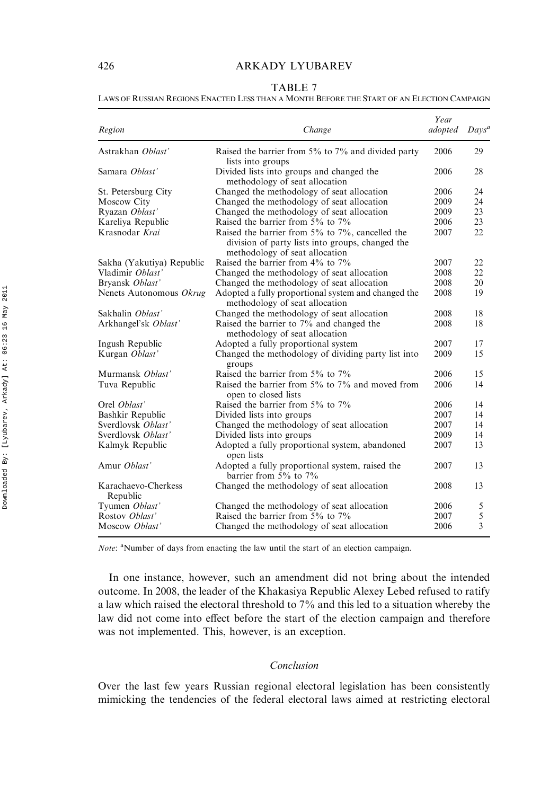#### TABLE 7

### LAWS OF RUSSIAN REGIONS ENACTED LESS THAN A MONTH BEFORE THE START OF AN ELECTION CAMPAIGN

| Region                          | Change                                                                                                                                       | Year<br>adopted | $Days^a$ |
|---------------------------------|----------------------------------------------------------------------------------------------------------------------------------------------|-----------------|----------|
| Astrakhan Oblast'               | Raised the barrier from 5% to 7% and divided party<br>lists into groups                                                                      | 2006            | 29       |
| Samara Ohlast'                  | Divided lists into groups and changed the<br>methodology of seat allocation                                                                  | 2006            | 28       |
| St. Petersburg City             | Changed the methodology of seat allocation                                                                                                   | 2006            | 24       |
| Moscow City                     | Changed the methodology of seat allocation                                                                                                   | 2009            | 24       |
| Ryazan Oblast'                  | Changed the methodology of seat allocation                                                                                                   | 2009            | 23       |
| Kareliya Republic               | Raised the barrier from 5% to 7%                                                                                                             | 2006            | 23       |
| Krasnodar Krai                  | Raised the barrier from $5\%$ to $7\%$ , cancelled the<br>division of party lists into groups, changed the<br>methodology of seat allocation | 2007            | 22       |
| Sakha (Yakutiya) Republic       | Raised the barrier from 4% to 7%                                                                                                             | 2007            | 22       |
| Vladimir Ohlast'                | Changed the methodology of seat allocation                                                                                                   | 2008            | 22       |
| Bryansk Oblast'                 | Changed the methodology of seat allocation                                                                                                   | 2008            | 20       |
| Nenets Autonomous Okrug         | Adopted a fully proportional system and changed the<br>methodology of seat allocation                                                        | 2008            | 19       |
| Sakhalin Oblast'                | Changed the methodology of seat allocation                                                                                                   | 2008            | 18       |
| Arkhangel'sk Oblast'            | Raised the barrier to 7% and changed the<br>methodology of seat allocation                                                                   | 2008            | 18       |
| Ingush Republic                 | Adopted a fully proportional system                                                                                                          | 2007            | 17       |
| Kurgan Oblast'                  | Changed the methodology of dividing party list into<br>groups                                                                                | 2009            | 15       |
| Murmansk <i>Oblast</i> '        | Raised the barrier from 5% to 7%                                                                                                             | 2006            | 15       |
| Tuva Republic                   | Raised the barrier from 5% to 7% and moved from<br>open to closed lists                                                                      | 2006            | 14       |
| Orel Oblast'                    | Raised the barrier from 5% to 7%                                                                                                             | 2006            | 14       |
| Bashkir Republic                | Divided lists into groups                                                                                                                    | 2007            | 14       |
| Sverdlovsk Oblast'              | Changed the methodology of seat allocation                                                                                                   | 2007            | 14       |
| Sverdlovsk Oblast'              | Divided lists into groups                                                                                                                    | 2009            | 14       |
| Kalmyk Republic                 | Adopted a fully proportional system, abandoned<br>open lists                                                                                 | 2007            | 13       |
| Amur Oblast'                    | Adopted a fully proportional system, raised the<br>barrier from 5% to 7%                                                                     | 2007            | 13       |
| Karachaevo-Cherkess<br>Republic | Changed the methodology of seat allocation                                                                                                   | 2008            | 13       |
| Tyumen Oblast'                  | Changed the methodology of seat allocation                                                                                                   | 2006            | 5        |
| Rostov Oblast'                  | Raised the barrier from 5% to 7%                                                                                                             | 2007            | 5        |
| Moscow Oblast'                  | Changed the methodology of seat allocation                                                                                                   | 2006            | 3        |

Note: <sup>a</sup>Number of days from enacting the law until the start of an election campaign.

In one instance, however, such an amendment did not bring about the intended outcome. In 2008, the leader of the Khakasiya Republic Alexey Lebed refused to ratify a law which raised the electoral threshold to 7% and this led to a situation whereby the law did not come into effect before the start of the election campaign and therefore was not implemented. This, however, is an exception.

#### Conclusion

Over the last few years Russian regional electoral legislation has been consistently mimicking the tendencies of the federal electoral laws aimed at restricting electoral